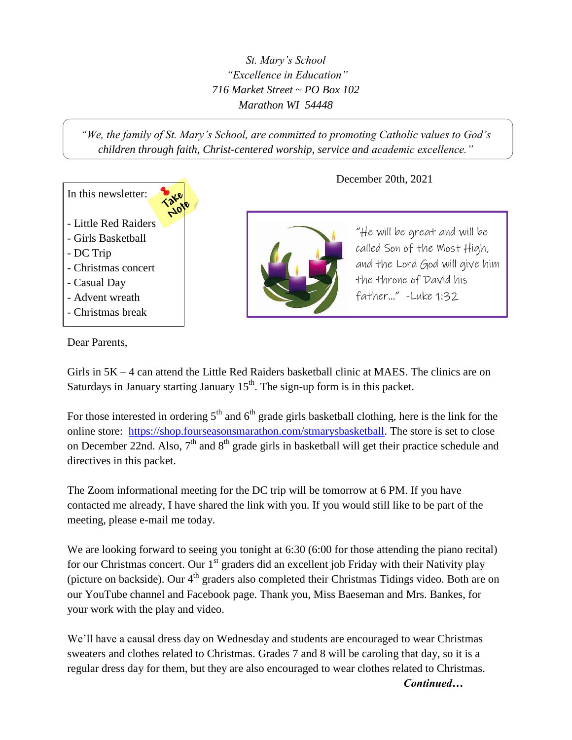*St. Mary's School "Excellence in Education" 716 Market Street ~ PO Box 102 Marathon WI 54448*

*"We, the family of St. Mary's School, are committed to promoting Catholic values to God's children through faith, Christ-centered worship, service and academic excellence."*



December 20th, 2021



"He will be great and will be called Son of the Most High, and the Lord God will give him the throne of David his father…" -Luke 1:32

Dear Parents,

Girls in 5K – 4 can attend the Little Red Raiders basketball clinic at MAES. The clinics are on Saturdays in January starting January  $15<sup>th</sup>$ . The sign-up form is in this packet.

For those interested in ordering  $5<sup>th</sup>$  and  $6<sup>th</sup>$  grade girls basketball clothing, here is the link for the online store: [https://shop.fourseasonsmarathon.com/stmarysbasketball.](https://shop.fourseasonsmarathon.com/stmarysbasketball) The store is set to close on December 22nd. Also,  $7<sup>th</sup>$  and  $8<sup>th</sup>$  grade girls in basketball will get their practice schedule and directives in this packet.

The Zoom informational meeting for the DC trip will be tomorrow at 6 PM. If you have contacted me already, I have shared the link with you. If you would still like to be part of the meeting, please e-mail me today.

We are looking forward to seeing you tonight at 6:30 (6:00 for those attending the piano recital) for our Christmas concert. Our  $1<sup>st</sup>$  graders did an excellent job Friday with their Nativity play (picture on backside). Our  $4<sup>th</sup>$  graders also completed their Christmas Tidings video. Both are on our YouTube channel and Facebook page. Thank you, Miss Baeseman and Mrs. Bankes, for your work with the play and video.

We'll have a causal dress day on Wednesday and students are encouraged to wear Christmas sweaters and clothes related to Christmas. Grades 7 and 8 will be caroling that day, so it is a regular dress day for them, but they are also encouraged to wear clothes related to Christmas.

*Continued…*